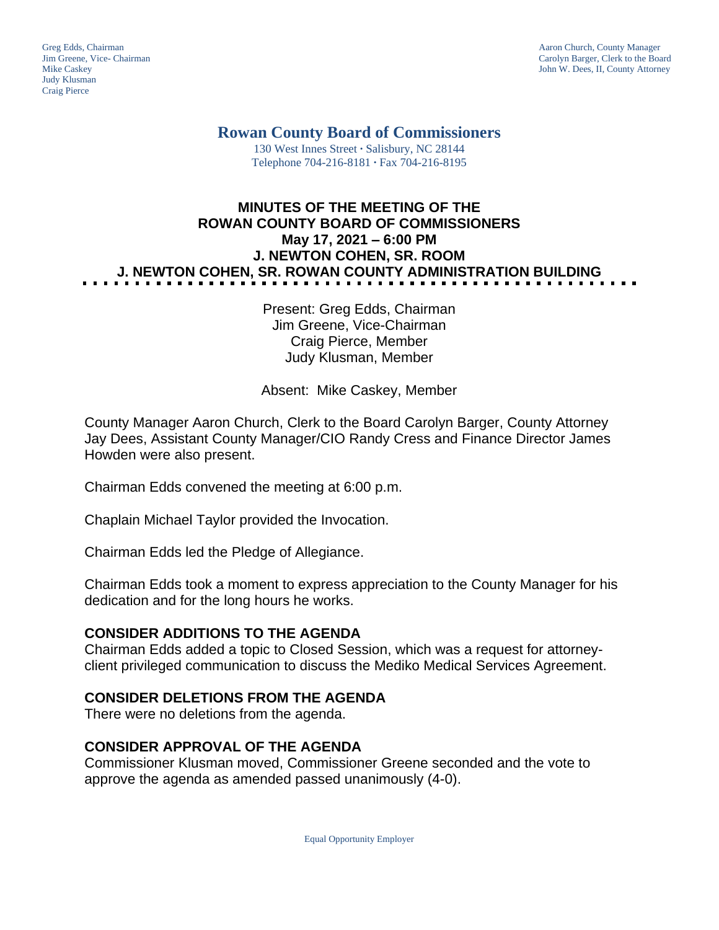Judy Klusman Craig Pierce

Greg Edds, Chairman Aaron Church, County Manager<br>
1989 - Garolyn Barger, Clerk to the Boa<br>
Carolyn Barger, Clerk to the Boa Jim Greene, Vice- Chairman Carolyn Barger, Clerk to the Board John W. Dees, II, County Attorney

**Rowan County Board of Commissioners**

130 West Innes Street **∙** Salisbury, NC 28144 Telephone 704-216-8181 **∙** Fax 704-216-8195

# **MINUTES OF THE MEETING OF THE ROWAN COUNTY BOARD OF COMMISSIONERS May 17, 2021 – 6:00 PM J. NEWTON COHEN, SR. ROOM J. NEWTON COHEN, SR. ROWAN COUNTY ADMINISTRATION BUILDING**

Present: Greg Edds, Chairman Jim Greene, Vice-Chairman Craig Pierce, Member Judy Klusman, Member

Absent: Mike Caskey, Member

County Manager Aaron Church, Clerk to the Board Carolyn Barger, County Attorney Jay Dees, Assistant County Manager/CIO Randy Cress and Finance Director James Howden were also present.

Chairman Edds convened the meeting at 6:00 p.m.

Chaplain Michael Taylor provided the Invocation.

Chairman Edds led the Pledge of Allegiance.

Chairman Edds took a moment to express appreciation to the County Manager for his dedication and for the long hours he works.

### **CONSIDER ADDITIONS TO THE AGENDA**

Chairman Edds added a topic to Closed Session, which was a request for attorneyclient privileged communication to discuss the Mediko Medical Services Agreement.

### **CONSIDER DELETIONS FROM THE AGENDA**

There were no deletions from the agenda.

### **CONSIDER APPROVAL OF THE AGENDA**

Commissioner Klusman moved, Commissioner Greene seconded and the vote to approve the agenda as amended passed unanimously (4-0).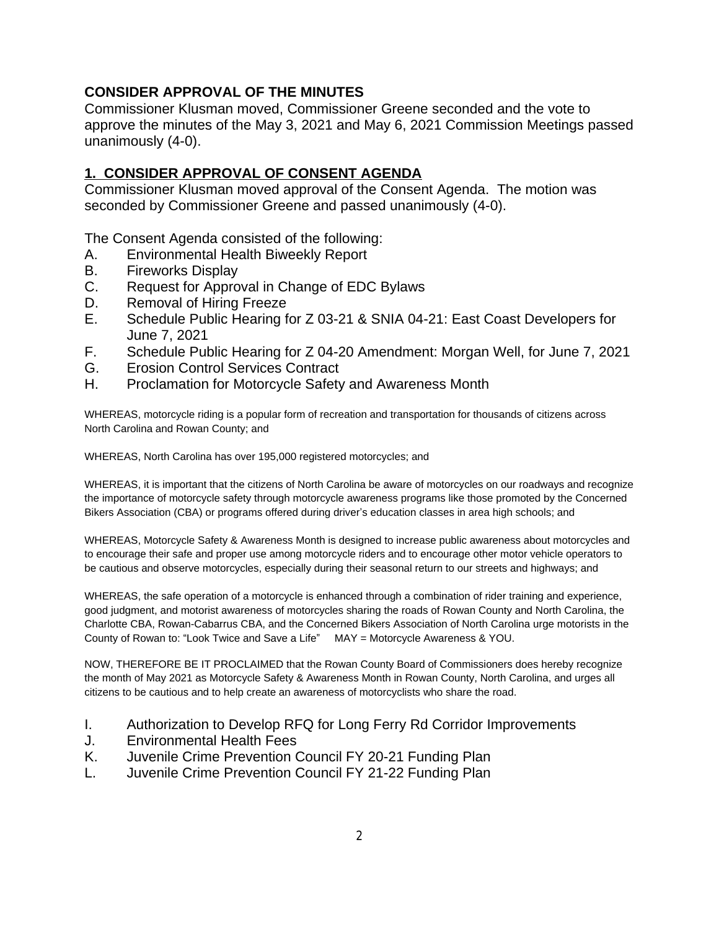## **CONSIDER APPROVAL OF THE MINUTES**

Commissioner Klusman moved, Commissioner Greene seconded and the vote to approve the minutes of the May 3, 2021 and May 6, 2021 Commission Meetings passed unanimously (4-0).

## **1. CONSIDER APPROVAL OF CONSENT AGENDA**

Commissioner Klusman moved approval of the Consent Agenda. The motion was seconded by Commissioner Greene and passed unanimously (4-0).

The Consent Agenda consisted of the following:

- A. Environmental Health Biweekly Report
- B. Fireworks Display
- C. Request for Approval in Change of EDC Bylaws
- D. Removal of Hiring Freeze
- E. Schedule Public Hearing for Z 03-21 & SNIA 04-21: East Coast Developers for June 7, 2021
- F. Schedule Public Hearing for Z 04-20 Amendment: Morgan Well, for June 7, 2021
- G. Erosion Control Services Contract
- H. Proclamation for Motorcycle Safety and Awareness Month

WHEREAS, motorcycle riding is a popular form of recreation and transportation for thousands of citizens across North Carolina and Rowan County; and

WHEREAS, North Carolina has over 195,000 registered motorcycles; and

WHEREAS, it is important that the citizens of North Carolina be aware of motorcycles on our roadways and recognize the importance of motorcycle safety through motorcycle awareness programs like those promoted by the Concerned Bikers Association (CBA) or programs offered during driver's education classes in area high schools; and

WHEREAS, Motorcycle Safety & Awareness Month is designed to increase public awareness about motorcycles and to encourage their safe and proper use among motorcycle riders and to encourage other motor vehicle operators to be cautious and observe motorcycles, especially during their seasonal return to our streets and highways; and

WHEREAS, the safe operation of a motorcycle is enhanced through a combination of rider training and experience, good judgment, and motorist awareness of motorcycles sharing the roads of Rowan County and North Carolina, the Charlotte CBA, Rowan-Cabarrus CBA, and the Concerned Bikers Association of North Carolina urge motorists in the County of Rowan to: "Look Twice and Save a Life" MAY = Motorcycle Awareness & YOU.

NOW, THEREFORE BE IT PROCLAIMED that the Rowan County Board of Commissioners does hereby recognize the month of May 2021 as Motorcycle Safety & Awareness Month in Rowan County, North Carolina, and urges all citizens to be cautious and to help create an awareness of motorcyclists who share the road.

- I. Authorization to Develop RFQ for Long Ferry Rd Corridor Improvements
- J. Environmental Health Fees
- K. Juvenile Crime Prevention Council FY 20-21 Funding Plan
- L. Juvenile Crime Prevention Council FY 21-22 Funding Plan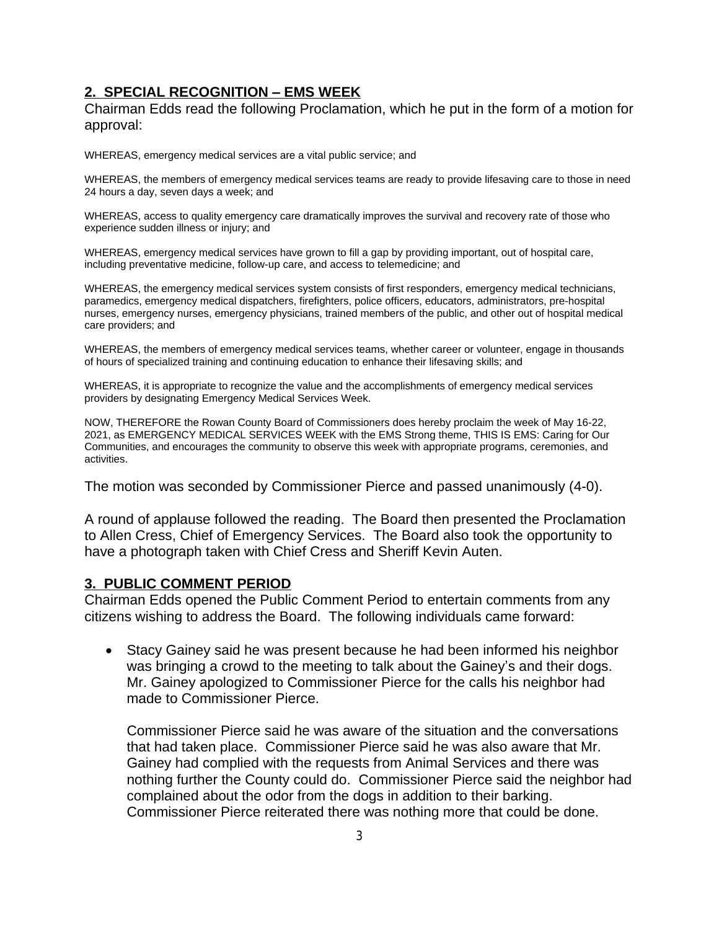## **2. SPECIAL RECOGNITION – EMS WEEK**

Chairman Edds read the following Proclamation, which he put in the form of a motion for approval:

WHEREAS, emergency medical services are a vital public service; and

WHEREAS, the members of emergency medical services teams are ready to provide lifesaving care to those in need 24 hours a day, seven days a week; and

WHEREAS, access to quality emergency care dramatically improves the survival and recovery rate of those who experience sudden illness or injury; and

WHEREAS, emergency medical services have grown to fill a gap by providing important, out of hospital care, including preventative medicine, follow-up care, and access to telemedicine; and

WHEREAS, the emergency medical services system consists of first responders, emergency medical technicians, paramedics, emergency medical dispatchers, firefighters, police officers, educators, administrators, pre-hospital nurses, emergency nurses, emergency physicians, trained members of the public, and other out of hospital medical care providers; and

WHEREAS, the members of emergency medical services teams, whether career or volunteer, engage in thousands of hours of specialized training and continuing education to enhance their lifesaving skills; and

WHEREAS, it is appropriate to recognize the value and the accomplishments of emergency medical services providers by designating Emergency Medical Services Week.

NOW, THEREFORE the Rowan County Board of Commissioners does hereby proclaim the week of May 16-22, 2021, as EMERGENCY MEDICAL SERVICES WEEK with the EMS Strong theme, THIS IS EMS: Caring for Our Communities, and encourages the community to observe this week with appropriate programs, ceremonies, and activities.

The motion was seconded by Commissioner Pierce and passed unanimously (4-0).

A round of applause followed the reading. The Board then presented the Proclamation to Allen Cress, Chief of Emergency Services. The Board also took the opportunity to have a photograph taken with Chief Cress and Sheriff Kevin Auten.

#### **3. PUBLIC COMMENT PERIOD**

Chairman Edds opened the Public Comment Period to entertain comments from any citizens wishing to address the Board. The following individuals came forward:

 Stacy Gainey said he was present because he had been informed his neighbor was bringing a crowd to the meeting to talk about the Gainey's and their dogs. Mr. Gainey apologized to Commissioner Pierce for the calls his neighbor had made to Commissioner Pierce.

Commissioner Pierce said he was aware of the situation and the conversations that had taken place. Commissioner Pierce said he was also aware that Mr. Gainey had complied with the requests from Animal Services and there was nothing further the County could do. Commissioner Pierce said the neighbor had complained about the odor from the dogs in addition to their barking. Commissioner Pierce reiterated there was nothing more that could be done.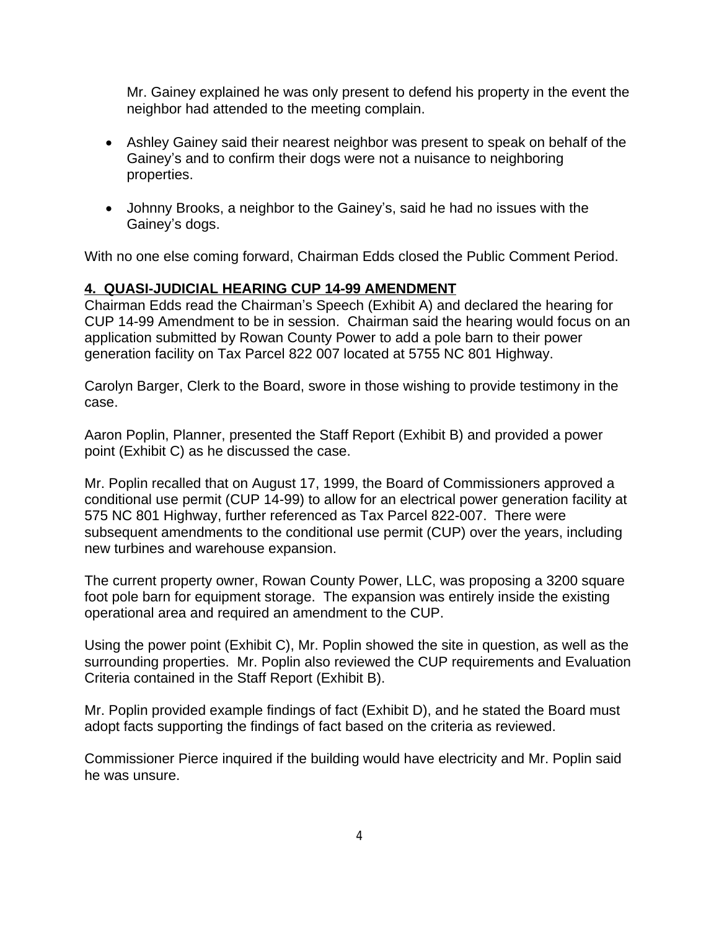Mr. Gainey explained he was only present to defend his property in the event the neighbor had attended to the meeting complain.

- Ashley Gainey said their nearest neighbor was present to speak on behalf of the Gainey's and to confirm their dogs were not a nuisance to neighboring properties.
- Johnny Brooks, a neighbor to the Gainey's, said he had no issues with the Gainey's dogs.

With no one else coming forward, Chairman Edds closed the Public Comment Period.

## **4. QUASI-JUDICIAL HEARING CUP 14-99 AMENDMENT**

Chairman Edds read the Chairman's Speech (Exhibit A) and declared the hearing for CUP 14-99 Amendment to be in session. Chairman said the hearing would focus on an application submitted by Rowan County Power to add a pole barn to their power generation facility on Tax Parcel 822 007 located at 5755 NC 801 Highway.

Carolyn Barger, Clerk to the Board, swore in those wishing to provide testimony in the case.

Aaron Poplin, Planner, presented the Staff Report (Exhibit B) and provided a power point (Exhibit C) as he discussed the case.

Mr. Poplin recalled that on August 17, 1999, the Board of Commissioners approved a conditional use permit (CUP 14-99) to allow for an electrical power generation facility at 575 NC 801 Highway, further referenced as Tax Parcel 822-007. There were subsequent amendments to the conditional use permit (CUP) over the years, including new turbines and warehouse expansion.

The current property owner, Rowan County Power, LLC, was proposing a 3200 square foot pole barn for equipment storage. The expansion was entirely inside the existing operational area and required an amendment to the CUP.

Using the power point (Exhibit C), Mr. Poplin showed the site in question, as well as the surrounding properties. Mr. Poplin also reviewed the CUP requirements and Evaluation Criteria contained in the Staff Report (Exhibit B).

Mr. Poplin provided example findings of fact (Exhibit D), and he stated the Board must adopt facts supporting the findings of fact based on the criteria as reviewed.

Commissioner Pierce inquired if the building would have electricity and Mr. Poplin said he was unsure.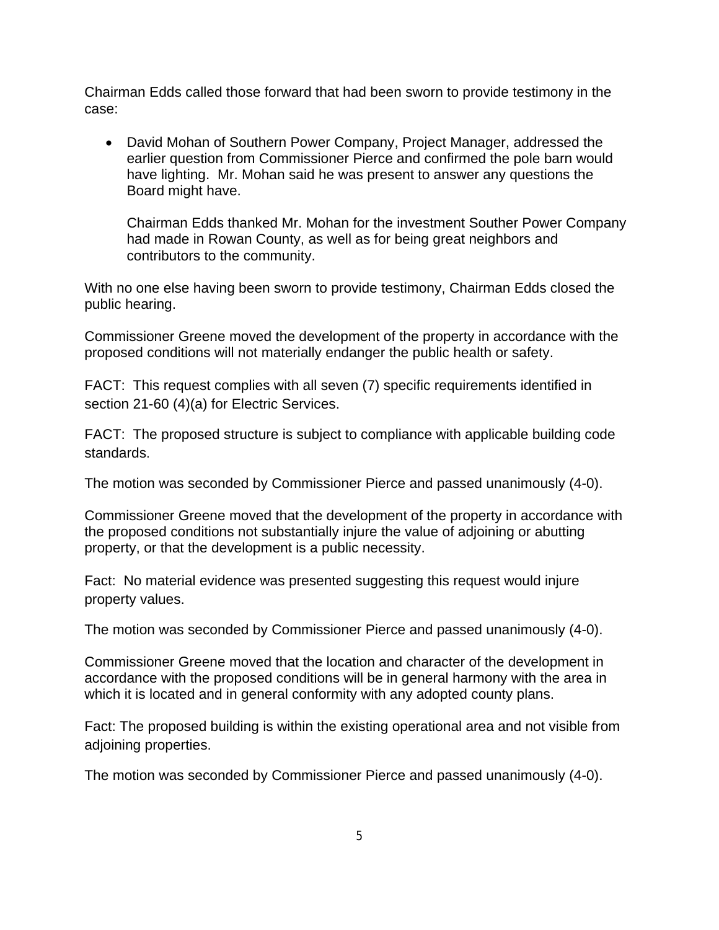Chairman Edds called those forward that had been sworn to provide testimony in the case:

 David Mohan of Southern Power Company, Project Manager, addressed the earlier question from Commissioner Pierce and confirmed the pole barn would have lighting. Mr. Mohan said he was present to answer any questions the Board might have.

Chairman Edds thanked Mr. Mohan for the investment Souther Power Company had made in Rowan County, as well as for being great neighbors and contributors to the community.

With no one else having been sworn to provide testimony, Chairman Edds closed the public hearing.

Commissioner Greene moved the development of the property in accordance with the proposed conditions will not materially endanger the public health or safety.

FACT: This request complies with all seven (7) specific requirements identified in section 21-60 (4)(a) for Electric Services.

FACT: The proposed structure is subject to compliance with applicable building code standards.

The motion was seconded by Commissioner Pierce and passed unanimously (4-0).

Commissioner Greene moved that the development of the property in accordance with the proposed conditions not substantially injure the value of adjoining or abutting property, or that the development is a public necessity.

Fact: No material evidence was presented suggesting this request would injure property values.

The motion was seconded by Commissioner Pierce and passed unanimously (4-0).

Commissioner Greene moved that the location and character of the development in accordance with the proposed conditions will be in general harmony with the area in which it is located and in general conformity with any adopted county plans.

Fact: The proposed building is within the existing operational area and not visible from adjoining properties.

The motion was seconded by Commissioner Pierce and passed unanimously (4-0).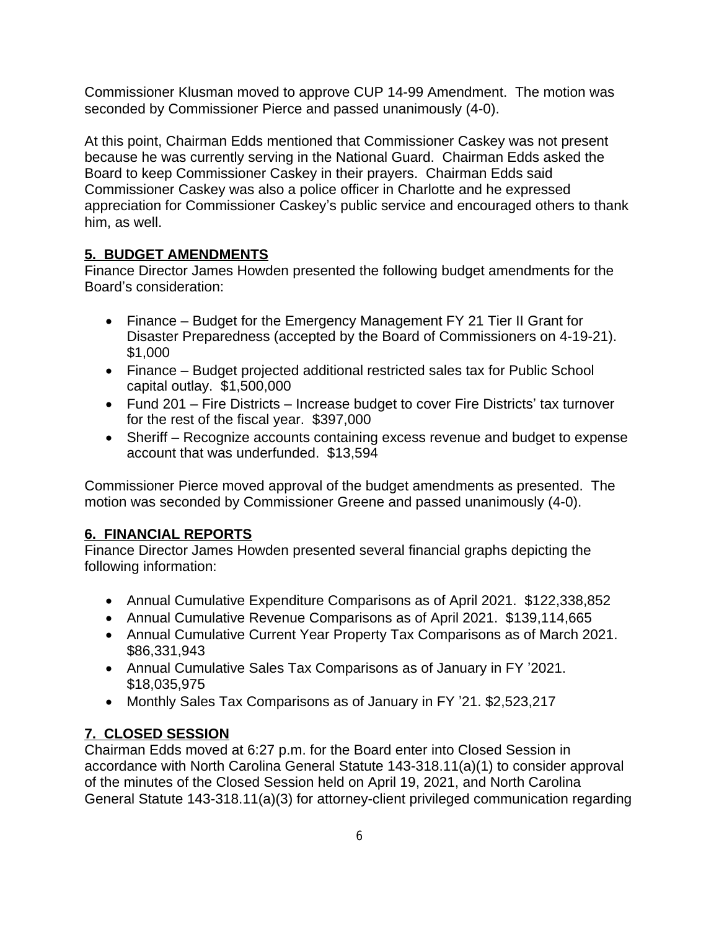Commissioner Klusman moved to approve CUP 14-99 Amendment. The motion was seconded by Commissioner Pierce and passed unanimously (4-0).

At this point, Chairman Edds mentioned that Commissioner Caskey was not present because he was currently serving in the National Guard. Chairman Edds asked the Board to keep Commissioner Caskey in their prayers. Chairman Edds said Commissioner Caskey was also a police officer in Charlotte and he expressed appreciation for Commissioner Caskey's public service and encouraged others to thank him, as well.

# **5. BUDGET AMENDMENTS**

Finance Director James Howden presented the following budget amendments for the Board's consideration:

- Finance Budget for the Emergency Management FY 21 Tier II Grant for Disaster Preparedness (accepted by the Board of Commissioners on 4-19-21). \$1,000
- Finance Budget projected additional restricted sales tax for Public School capital outlay. \$1,500,000
- Fund 201 Fire Districts Increase budget to cover Fire Districts' tax turnover for the rest of the fiscal year. \$397,000
- Sheriff Recognize accounts containing excess revenue and budget to expense account that was underfunded. \$13,594

Commissioner Pierce moved approval of the budget amendments as presented. The motion was seconded by Commissioner Greene and passed unanimously (4-0).

# **6. FINANCIAL REPORTS**

Finance Director James Howden presented several financial graphs depicting the following information:

- Annual Cumulative Expenditure Comparisons as of April 2021. \$122,338,852
- Annual Cumulative Revenue Comparisons as of April 2021. \$139,114,665
- Annual Cumulative Current Year Property Tax Comparisons as of March 2021. \$86,331,943
- Annual Cumulative Sales Tax Comparisons as of January in FY '2021. \$18,035,975
- Monthly Sales Tax Comparisons as of January in FY '21. \$2,523,217

# **7. CLOSED SESSION**

Chairman Edds moved at 6:27 p.m. for the Board enter into Closed Session in accordance with North Carolina General Statute 143-318.11(a)(1) to consider approval of the minutes of the Closed Session held on April 19, 2021, and North Carolina General Statute 143-318.11(a)(3) for attorney-client privileged communication regarding